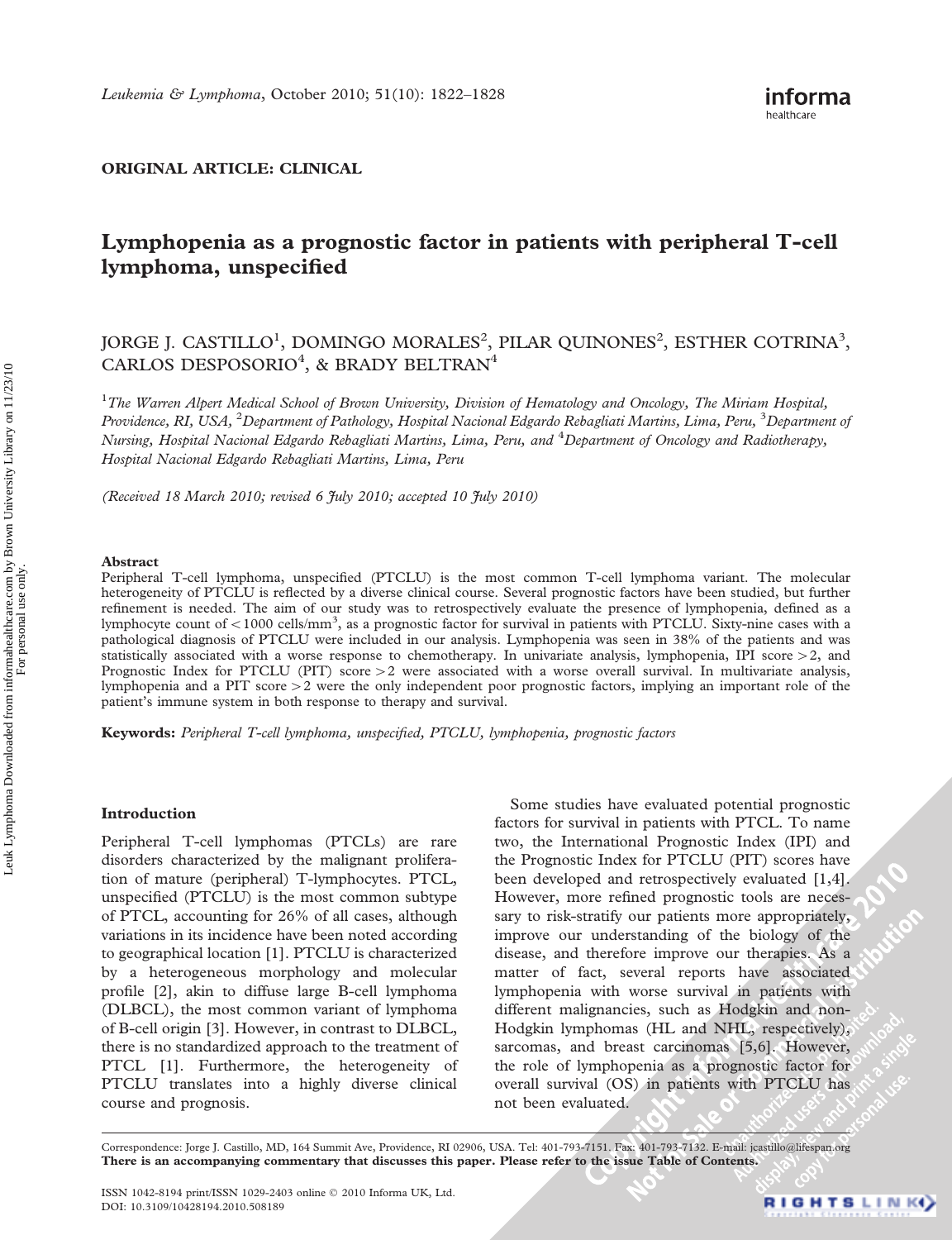# ORIGINAL ARTICLE: CLINICAL

# Lymphopenia as a prognostic factor in patients with peripheral T-cell lymphoma, unspecified

# JORGE J. CASTILLO<sup>1</sup>, DOMINGO MORALES $^2$ , PILAR QUINONES $^2$ , ESTHER COTRINA $^3$ , CARLOS DESPOSORIO<sup>4</sup>, & BRADY BELTRAN<sup>4</sup>

<sup>1</sup>The Warren Alpert Medical School of Brown University, Division of Hematology and Oncology, The Miriam Hospital, Providence, RI, USA, <sup>2</sup>Department of Pathology, Hospital Nacional Edgardo Rebagliati Martins, Lima, Peru, <sup>3</sup>Department oj Nursing, Hospital Nacional Edgardo Rebagliati Martins, Lima, Peru, and <sup>4</sup>Department of Oncology and Radiotherapy, Hospital Nacional Edgardo Rebagliati Martins, Lima, Peru

(Received 18 March 2010; revised 6  $\tilde{t}$ uly 2010; accepted 10  $\tilde{t}$ uly 2010)

#### Abstract

Peripheral T-cell lymphoma, unspecified (PTCLU) is the most common T-cell lymphoma variant. The molecular heterogeneity of PTCLU is reflected by a diverse clinical course. Several prognostic factors have been studied, but further refinement is needed. The aim of our study was to retrospectively evaluate the presence of lymphopenia, defined as a lymphocyte count of <1000 cells/mm<sup>3</sup>, as a prognostic factor for survival in patients with PTCLU. Sixty-nine cases with a pathological diagnosis of PTCLU were included in our analysis. Lymphopenia was seen in 38% of the patients and was statistically associated with a worse response to chemotherapy. In univariate analysis, lymphopenia, IPI score  $>2$ , and Prognostic Index for PTCLU (PIT) score  $>2$  were associated with a worse overall survival. In multivariate analysis, lymphopenia and a PIT score  $>2$  were the only independent poor prognostic factors, implying an important role of the patient's immune system in both response to therapy and survival.

Keywords: Peripheral T-cell lymphoma, unspecified, PTCLU, lymphopenia, prognostic factors

#### Introduction

Peripheral T-cell lymphomas (PTCLs) are rare disorders characterized by the malignant proliferation of mature (peripheral) T-lymphocytes. PTCL, unspecified (PTCLU) is the most common subtype of PTCL, accounting for 26% of all cases, although variations in its incidence have been noted according to geographical location [1]. PTCLU is characterized by a heterogeneous morphology and molecular profile [2], akin to diffuse large B-cell lymphoma (DLBCL), the most common variant of lymphoma of B-cell origin [3]. However, in contrast to DLBCL, there is no standardized approach to the treatment of PTCL [1]. Furthermore, the heterogeneity of PTCLU translates into a highly diverse clinical course and prognosis.

Some studies have evaluated potential prognostic factors for survival in patients with PTCL. To name two, the International Prognostic Index (IPI) and the Prognostic Index for PTCLU (PIT) scores have been developed and retrospectively evaluated [1,4]. However, more refined prognostic tools are necessary to risk-stratify our patients more appropriately, improve our understanding of the biology of the disease, and therefore improve our therapies. As a matter of fact, several reports have associated lymphopenia with worse survival in patients with different malignancies, such as Hodgkin and non-Hodgkin lymphomas (HL and NHL, respectively), sarcomas, and breast carcinomas [5,6]. However, the role of lymphopenia as a prognostic factor for overall survival (OS) in patients with PTCLU has not been evaluated.

Correspondence: Jorge J. Castillo, MD, 164 Summit Ave, Providence, RI 02906, USA. Tel: 401-793-7151. Fax: 401-793-7132. E-mail: jcastillo@lifespan.org There is an accompanying commentary that discusses this paper. Please refer to the issue Table of Contents.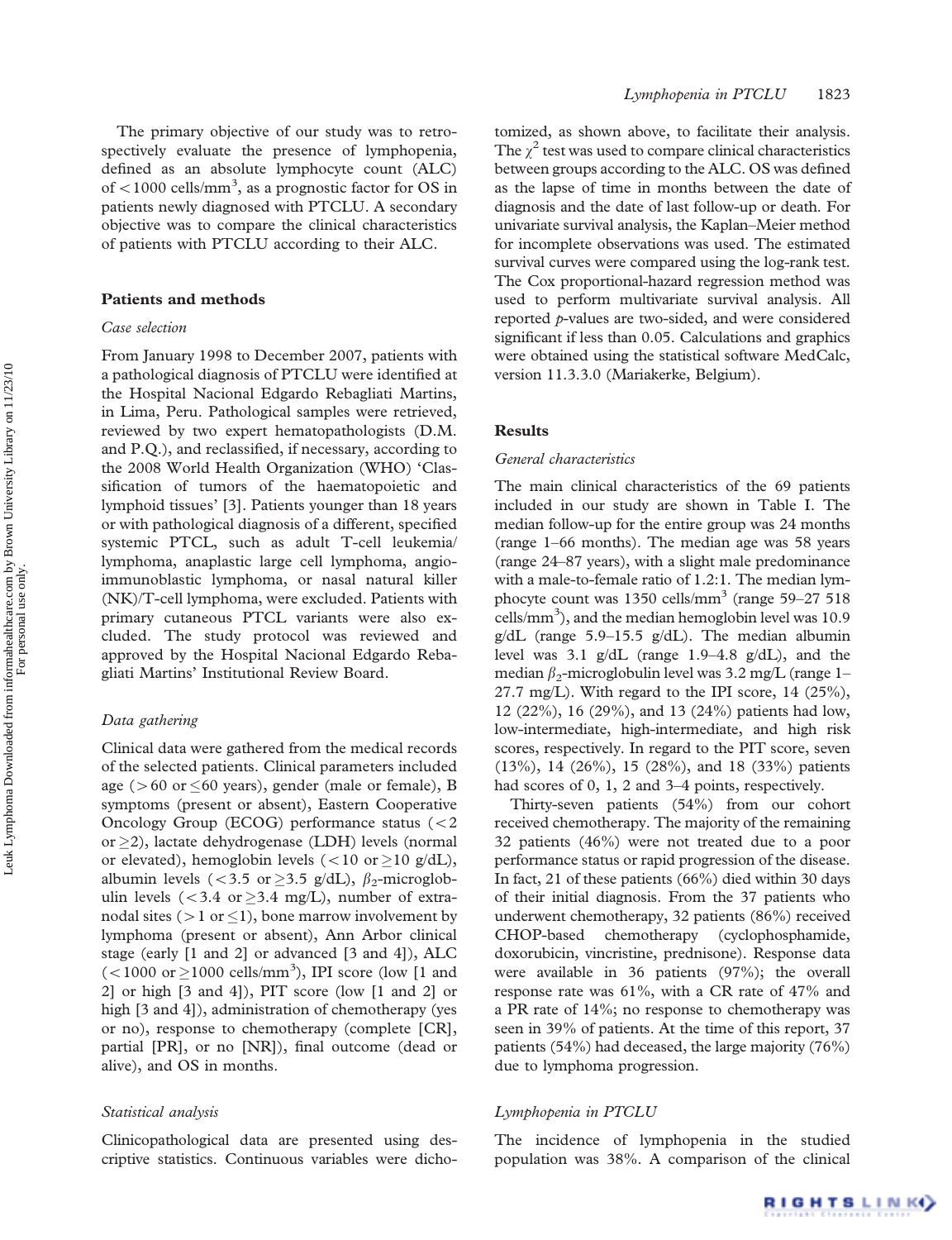The primary objective of our study was to retrospectively evaluate the presence of lymphopenia, defined as an absolute lymphocyte count (ALC) of  $<$  1000 cells/mm<sup>3</sup>, as a prognostic factor for OS in patients newly diagnosed with PTCLU. A secondary objective was to compare the clinical characteristics of patients with PTCLU according to their ALC.

### Patients and methods

# Case selection

From January 1998 to December 2007, patients with a pathological diagnosis of PTCLU were identified at the Hospital Nacional Edgardo Rebagliati Martins, in Lima, Peru. Pathological samples were retrieved, reviewed by two expert hematopathologists (D.M. and P.Q.), and reclassified, if necessary, according to the 2008 World Health Organization (WHO) 'Classification of tumors of the haematopoietic and lymphoid tissues' [3]. Patients younger than 18 years or with pathological diagnosis of a different, specified systemic PTCL, such as adult T-cell leukemia/ lymphoma, anaplastic large cell lymphoma, angioimmunoblastic lymphoma, or nasal natural killer (NK)/T-cell lymphoma, were excluded. Patients with primary cutaneous PTCL variants were also excluded. The study protocol was reviewed and approved by the Hospital Nacional Edgardo Rebagliati Martins' Institutional Review Board.

# Data gathering

Clinical data were gathered from the medical records of the selected patients. Clinical parameters included age ( $>60$  or  $\leq 60$  years), gender (male or female), B symptoms (present or absent), Eastern Cooperative Oncology Group (ECOG) performance status (52 or  $\geq$ 2), lactate dehydrogenase (LDH) levels (normal or elevated), hemoglobin levels (<10 or  $\geq$ 10 g/dL), albumin levels ( $<$ 3.5 or  $\geq$ 3.5 g/dL),  $\beta_2$ -microglobulin levels ( $<$ 3.4 or  $\geq$ 3.4 mg/L), number of extranodal sites ( $>1$  or  $\leq$ 1), bone marrow involvement by lymphoma (present or absent), Ann Arbor clinical stage (early [1 and 2] or advanced [3 and 4]), ALC  $(<1000 \text{ or } \ge 1000 \text{ cells/mm}^3)$ , IPI score (low [1 and 2] or high [3 and 4]), PIT score (low [1 and 2] or high [3 and 4]), administration of chemotherapy (yes or no), response to chemotherapy (complete [CR], partial [PR], or no [NR]), final outcome (dead or alive), and OS in months.

#### Statistical analysis

Clinicopathological data are presented using descriptive statistics. Continuous variables were dichotomized, as shown above, to facilitate their analysis. The  $\chi^2$  test was used to compare clinical characteristics between groups according to the ALC. OS was defined as the lapse of time in months between the date of diagnosis and the date of last follow-up or death. For univariate survival analysis, the Kaplan–Meier method for incomplete observations was used. The estimated survival curves were compared using the log-rank test. The Cox proportional-hazard regression method was used to perform multivariate survival analysis. All reported p-values are two-sided, and were considered significant if less than 0.05. Calculations and graphics were obtained using the statistical software MedCalc, version 11.3.3.0 (Mariakerke, Belgium).

# **Results**

## General characteristics

The main clinical characteristics of the 69 patients included in our study are shown in Table I. The median follow-up for the entire group was 24 months (range 1–66 months). The median age was 58 years (range 24–87 years), with a slight male predominance with a male-to-female ratio of 1.2:1. The median lymphocyte count was  $1350$  cells/mm<sup>3</sup> (range  $59-27$  518 cells/mm<sup>3</sup>), and the median hemoglobin level was 10.9 g/dL (range 5.9–15.5 g/dL). The median albumin level was 3.1 g/dL (range 1.9–4.8 g/dL), and the median  $\beta_2$ -microglobulin level was 3.2 mg/L (range 1– 27.7 mg/L). With regard to the IPI score,  $14$  (25%), 12 (22%), 16 (29%), and 13 (24%) patients had low, low-intermediate, high-intermediate, and high risk scores, respectively. In regard to the PIT score, seven (13%), 14 (26%), 15 (28%), and 18 (33%) patients had scores of 0, 1, 2 and 3–4 points, respectively.

Thirty-seven patients (54%) from our cohort received chemotherapy. The majority of the remaining 32 patients (46%) were not treated due to a poor performance status or rapid progression of the disease. In fact, 21 of these patients (66%) died within 30 days of their initial diagnosis. From the 37 patients who underwent chemotherapy, 32 patients (86%) received CHOP-based chemotherapy (cyclophosphamide, doxorubicin, vincristine, prednisone). Response data were available in 36 patients (97%); the overall response rate was 61%, with a CR rate of 47% and a PR rate of 14%; no response to chemotherapy was seen in 39% of patients. At the time of this report, 37 patients (54%) had deceased, the large majority (76%) due to lymphoma progression.

#### Lymphopenia in PTCLU

The incidence of lymphopenia in the studied population was 38%. A comparison of the clinical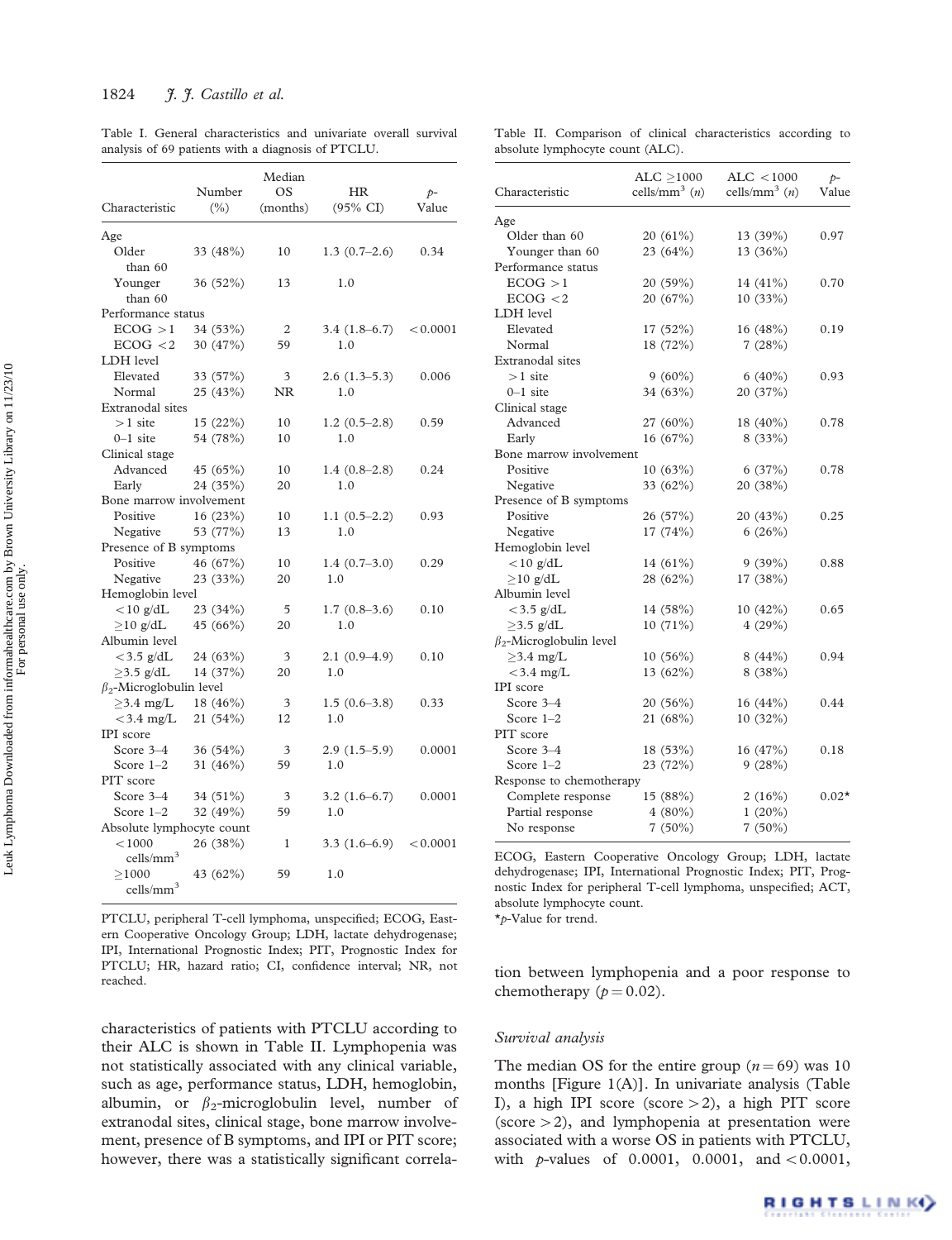Table I. General characteristics and univariate overall survival analysis of 69 patients with a diagnosis of PTCLU.

| Characteristic                 | Number<br>$(\% )$ | Median<br>OS<br>(months) | <b>HR</b><br>$(95\% \text{ CI})$ | $p-$<br>Value |
|--------------------------------|-------------------|--------------------------|----------------------------------|---------------|
|                                |                   |                          |                                  |               |
| Age                            |                   |                          |                                  |               |
| Older                          | 33 (48%)          | 10                       | $1.3(0.7-2.6)$                   | 0.34          |
| than 60                        |                   |                          |                                  |               |
| Younger                        | 36 (52%)          | 13                       | 1.0                              |               |
| than 60<br>Performance status  |                   |                          |                                  |               |
| ECOG > 1                       | 34 (53%)          | 2                        | $3.4(1.8-6.7)$                   | < 0.0001      |
| ECOG < 2                       | 30 (47%)          | 59                       | 1.0                              |               |
| LDH level                      |                   |                          |                                  |               |
| Elevated                       | 33 (57%)          | 3                        | $2.6(1.3-5.3)$                   | 0.006         |
| Normal                         | 25 (43%)          | NR                       | 1.0                              |               |
| Extranodal sites               |                   |                          |                                  |               |
| $>1$ site                      | 15(22%)           | 10                       | $1.2(0.5-2.8)$                   | 0.59          |
| $0-1$ site                     | 54 (78%)          | 10                       | 1.0                              |               |
| Clinical stage                 |                   |                          |                                  |               |
| Advanced                       | 45(65%)           | 10                       | $1.4(0.8-2.8)$                   | 0.24          |
| Early                          | 24 (35%)          | 20                       | 1.0                              |               |
| Bone marrow involvement        |                   |                          |                                  |               |
| Positive                       | 16(23%)           | 10                       | $1.1(0.5-2.2)$                   | 0.93          |
| Negative                       | 53 (77%)          | 13                       | 1.0                              |               |
| Presence of B symptoms         |                   |                          |                                  |               |
| Positive                       | 46 (67%)          | 10                       | $1.4(0.7-3.0)$                   | 0.29          |
| Negative                       | 23 (33%)          | 20                       | 1.0                              |               |
| Hemoglobin level               |                   |                          |                                  |               |
| $<$ 10 g/dL                    | 23 (34%)          | 5                        | $1.7(0.8-3.6)$                   | 0.10          |
| $>10$ g/dL                     | 45 (66%)          | 20                       | 1.0                              |               |
| Albumin level                  |                   |                          |                                  |               |
| $<$ 3.5 g/dL                   | 24 (63%)          | 3                        | $2.1(0.9-4.9)$                   | 0.10          |
| $>3.5$ g/dL                    | 14 (37%)          | 20                       | 1.0                              |               |
| $\beta_2$ -Microglobulin level |                   |                          |                                  |               |
| $>3.4$ mg/L                    | 18 (46%)          | 3                        | $1.5(0.6-3.8)$                   | 0.33          |
| $<$ 3.4 mg/L                   | 21 (54%)          | 12                       | 1.0                              |               |
| IPI score                      |                   |                          |                                  |               |
| Score $3-4$                    | 36 (54%)          | 3                        | $2.9(1.5-5.9)$                   | 0.0001        |
| Score $1-2$                    | 31 (46%)          | 59                       | 1.0                              |               |
| PIT score                      |                   |                          |                                  |               |
| Score 3-4                      | 34 (51%)          | 3                        | $3.2(1.6-6.7)$                   | 0.0001        |
| Score $1-2$                    | 32 (49%)          | 59                       | 1.0                              |               |
| Absolute lymphocyte count      |                   |                          |                                  |               |
| < 1000                         | 26 (38%)          | 1                        | $3.3(1.6-6.9)$                   | < 0.0001      |
| $\text{cells/mm}^3$            |                   |                          |                                  |               |
| >1000                          | 43 (62%)          | 59                       | 1.0                              |               |
| $\text{cells/mm}^3$            |                   |                          |                                  |               |

PTCLU, peripheral T-cell lymphoma, unspecified; ECOG, Eastern Cooperative Oncology Group; LDH, lactate dehydrogenase; IPI, International Prognostic Index; PIT, Prognostic Index for PTCLU; HR, hazard ratio; CI, confidence interval; NR, not reached.

characteristics of patients with PTCLU according to their ALC is shown in Table II. Lymphopenia was not statistically associated with any clinical variable, such as age, performance status, LDH, hemoglobin, albumin, or  $\beta_2$ -microglobulin level, number of extranodal sites, clinical stage, bone marrow involvement, presence of B symptoms, and IPI or PIT score; however, there was a statistically significant correla-

Table II. Comparison of clinical characteristics according to absolute lymphocyte count (ALC).

| Characteristic                 | ALC ${\geq}1000$<br>cells/mm <sup>3</sup> $(n)$ | ALC < 1000<br>cells/mm <sup>3</sup> $(n)$ | $p-$<br>Value |
|--------------------------------|-------------------------------------------------|-------------------------------------------|---------------|
| Age                            |                                                 |                                           |               |
| Older than 60                  | 20 (61%)                                        | 13 (39%)                                  | 0.97          |
| Younger than 60                | 23 (64%)                                        | 13 (36%)                                  |               |
| Performance status             |                                                 |                                           |               |
| ECOG > 1                       | 20 (59%)                                        | 14 (41%)                                  | 0.70          |
| ECOG < 2                       | 20 (67%)                                        | 10 (33%)                                  |               |
| LDH level                      |                                                 |                                           |               |
| Elevated                       | 17(52%)                                         | 16(48%)                                   | 0.19          |
| Normal                         | 18 (72%)                                        | 7(28%)                                    |               |
| Extranodal sites               |                                                 |                                           |               |
| $>1$ site                      | $9(60\%)$                                       | $6(40\%)$                                 | 0.93          |
| $0-1$ site                     | 34 (63%)                                        | 20 (37%)                                  |               |
| Clinical stage                 |                                                 |                                           |               |
| Advanced                       | 27 (60%)                                        | 18 (40%)                                  | 0.78          |
| Early                          | 16(67%)                                         | 8(33%)                                    |               |
| Bone marrow involvement        |                                                 |                                           |               |
| Positive                       | 10(63%)                                         | 6(37%)                                    | 0.78          |
| Negative                       | 33 (62%)                                        | 20 (38%)                                  |               |
| Presence of B symptoms         |                                                 |                                           |               |
| Positive                       | 26 (57%)                                        | 20 (43%)                                  | 0.25          |
| Negative                       | 17(74%)                                         | 6(26%)                                    |               |
| Hemoglobin level               |                                                 |                                           |               |
| $<$ 10 g/dL                    | 14 (61%)                                        | 9(39%)                                    | 0.88          |
| $>10$ g/dL                     | 28 (62%)                                        | 17 (38%)                                  |               |
| Albumin level                  |                                                 |                                           |               |
| $<$ 3.5 g/dL                   | 14 (58%)                                        | 10(42%)                                   | 0.65          |
| $>3.5$ g/dL                    | 10 (71%)                                        | 4(29%)                                    |               |
| $\beta_2$ -Microglobulin level |                                                 |                                           |               |
| $>3.4$ mg/L                    | $10(56\%)$                                      | 8(44%)                                    | 0.94          |
| $<$ 3.4 mg/L                   | 13 $(62%)$                                      | 8 (38%)                                   |               |
| IPI score                      |                                                 |                                           |               |
| Score 3-4                      | 20(56%)                                         | 16 (44%)                                  | 0.44          |
| Score $1-2$                    | 21 (68%)                                        | 10 (32%)                                  |               |
| PIT score                      |                                                 |                                           |               |
| Score 3-4                      | 18 (53%)                                        | 16(47%)                                   | 0.18          |
| Score $1-2$                    | 23 (72%)                                        | 9(28%)                                    |               |
| Response to chemotherapy       |                                                 |                                           |               |
| Complete response              | 15 (88%)                                        | 2(16%)                                    | $0.02*$       |
| Partial response               | $4(80\%)$                                       | $1(20\%)$                                 |               |
| No response                    | $7(50\%)$                                       | $7(50\%)$                                 |               |

ECOG, Eastern Cooperative Oncology Group; LDH, lactate dehydrogenase; IPI, International Prognostic Index; PIT, Prognostic Index for peripheral T-cell lymphoma, unspecified; ACT, absolute lymphocyte count.

\*p-Value for trend.

tion between lymphopenia and a poor response to chemotherapy ( $p = 0.02$ ).

### Survival analysis

The median OS for the entire group  $(n = 69)$  was 10 months [Figure 1(A)]. In univariate analysis (Table I), a high IPI score (score  $>$  2), a high PIT score (score  $>$  2), and lymphopenia at presentation were associated with a worse OS in patients with PTCLU, with  $p$ -values of 0.0001, 0.0001, and <0.0001,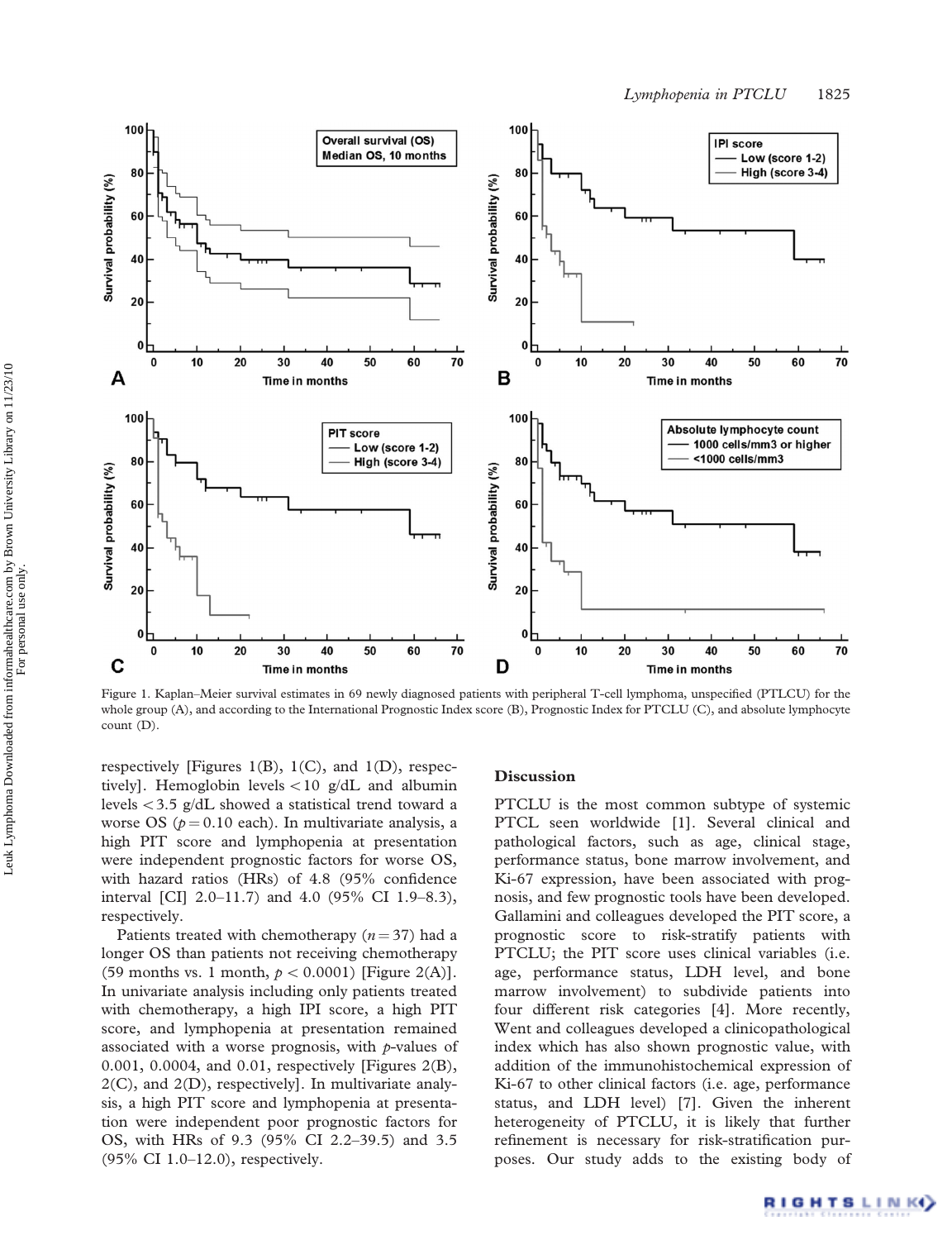

Figure 1. Kaplan–Meier survival estimates in 69 newly diagnosed patients with peripheral T-cell lymphoma, unspecified (PTLCU) for the whole group (A), and according to the International Prognostic Index score (B), Prognostic Index for PTCLU (C), and absolute lymphocyte count (D).

respectively [Figures 1(B), 1(C), and 1(D), respectively]. Hemoglobin levels  $<$  10 g/dL and albumin levels  $<$  3.5 g/dL showed a statistical trend toward a worse OS ( $p = 0.10$  each). In multivariate analysis, a high PIT score and lymphopenia at presentation were independent prognostic factors for worse OS, with hazard ratios (HRs) of 4.8 (95% confidence interval [CI] 2.0–11.7) and 4.0 (95% CI 1.9–8.3), respectively.

Patients treated with chemotherapy  $(n = 37)$  had a longer OS than patients not receiving chemotherapy (59 months vs. 1 month,  $p < 0.0001$ ) [Figure 2(A)]. In univariate analysis including only patients treated with chemotherapy, a high IPI score, a high PIT score, and lymphopenia at presentation remained associated with a worse prognosis, with  $p$ -values of 0.001, 0.0004, and 0.01, respectively [Figures 2(B),  $2(C)$ , and  $2(D)$ , respectively]. In multivariate analysis, a high PIT score and lymphopenia at presentation were independent poor prognostic factors for OS, with HRs of 9.3 (95% CI 2.2–39.5) and 3.5 (95% CI 1.0–12.0), respectively.

## **Discussion**

PTCLU is the most common subtype of systemic PTCL seen worldwide [1]. Several clinical and pathological factors, such as age, clinical stage, performance status, bone marrow involvement, and Ki-67 expression, have been associated with prognosis, and few prognostic tools have been developed. Gallamini and colleagues developed the PIT score, a prognostic score to risk-stratify patients with PTCLU; the PIT score uses clinical variables (i.e. age, performance status, LDH level, and bone marrow involvement) to subdivide patients into four different risk categories [4]. More recently, Went and colleagues developed a clinicopathological index which has also shown prognostic value, with addition of the immunohistochemical expression of Ki-67 to other clinical factors (i.e. age, performance status, and LDH level) [7]. Given the inherent heterogeneity of PTCLU, it is likely that further refinement is necessary for risk-stratification purposes. Our study adds to the existing body of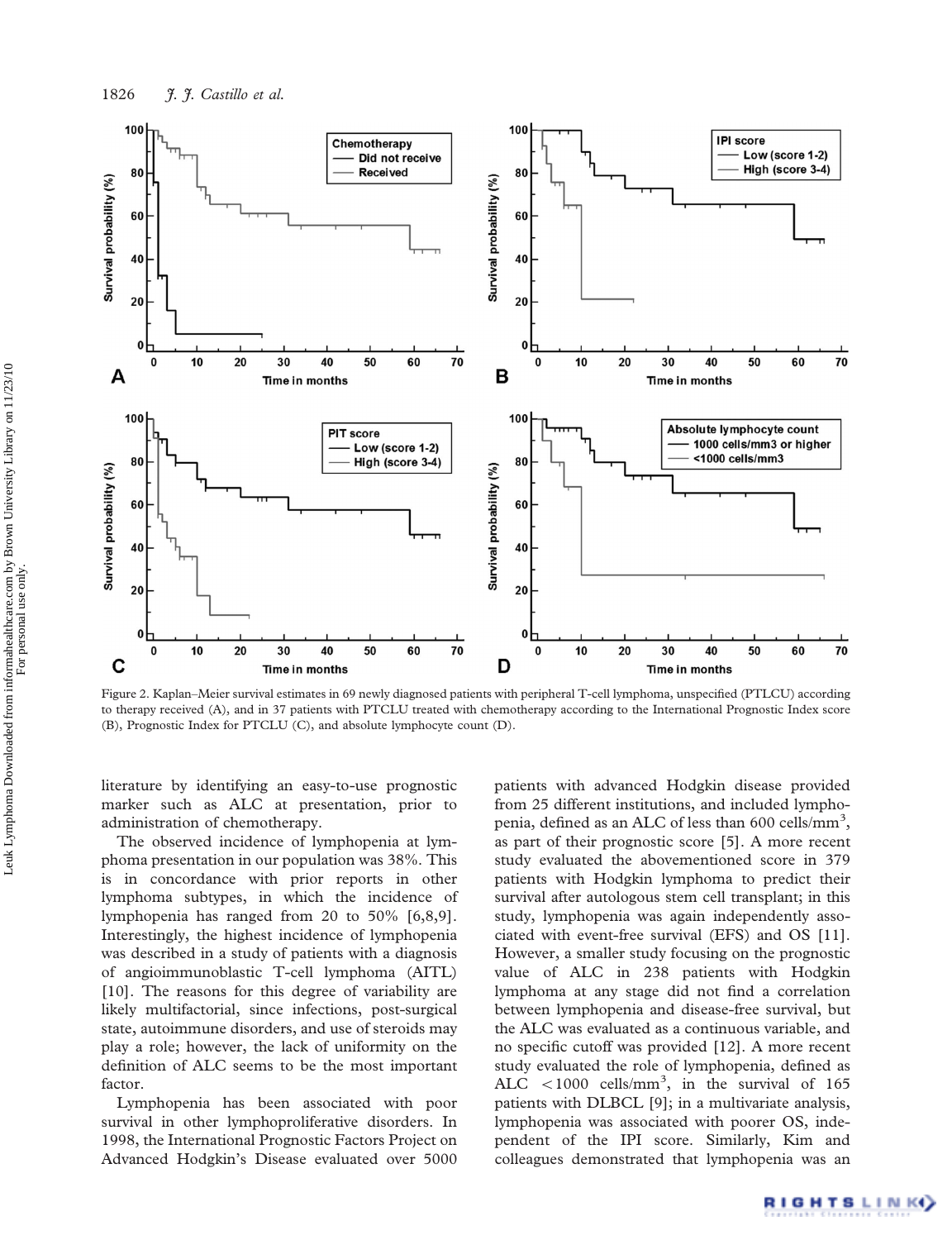

Figure 2. Kaplan–Meier survival estimates in 69 newly diagnosed patients with peripheral T-cell lymphoma, unspecified (PTLCU) according to therapy received (A), and in 37 patients with PTCLU treated with chemotherapy according to the International Prognostic Index score (B), Prognostic Index for PTCLU (C), and absolute lymphocyte count (D).

literature by identifying an easy-to-use prognostic marker such as ALC at presentation, prior to administration of chemotherapy.

The observed incidence of lymphopenia at lymphoma presentation in our population was 38%. This is in concordance with prior reports in other lymphoma subtypes, in which the incidence of lymphopenia has ranged from 20 to 50% [6,8,9]. Interestingly, the highest incidence of lymphopenia was described in a study of patients with a diagnosis of angioimmunoblastic T-cell lymphoma (AITL) [10]. The reasons for this degree of variability are likely multifactorial, since infections, post-surgical state, autoimmune disorders, and use of steroids may play a role; however, the lack of uniformity on the definition of ALC seems to be the most important factor.

Lymphopenia has been associated with poor survival in other lymphoproliferative disorders. In 1998, the International Prognostic Factors Project on Advanced Hodgkin's Disease evaluated over 5000 patients with advanced Hodgkin disease provided from 25 different institutions, and included lymphopenia, defined as an ALC of less than 600 cells/mm<sup>3</sup>, as part of their prognostic score [5]. A more recent study evaluated the abovementioned score in 379 patients with Hodgkin lymphoma to predict their survival after autologous stem cell transplant; in this study, lymphopenia was again independently associated with event-free survival (EFS) and OS [11]. However, a smaller study focusing on the prognostic value of ALC in 238 patients with Hodgkin lymphoma at any stage did not find a correlation between lymphopenia and disease-free survival, but the ALC was evaluated as a continuous variable, and no specific cutoff was provided [12]. A more recent study evaluated the role of lymphopenia, defined as ALC  $<$  1000 cells/mm<sup>3</sup>, in the survival of 165 patients with DLBCL [9]; in a multivariate analysis, lymphopenia was associated with poorer OS, independent of the IPI score. Similarly, Kim and colleagues demonstrated that lymphopenia was an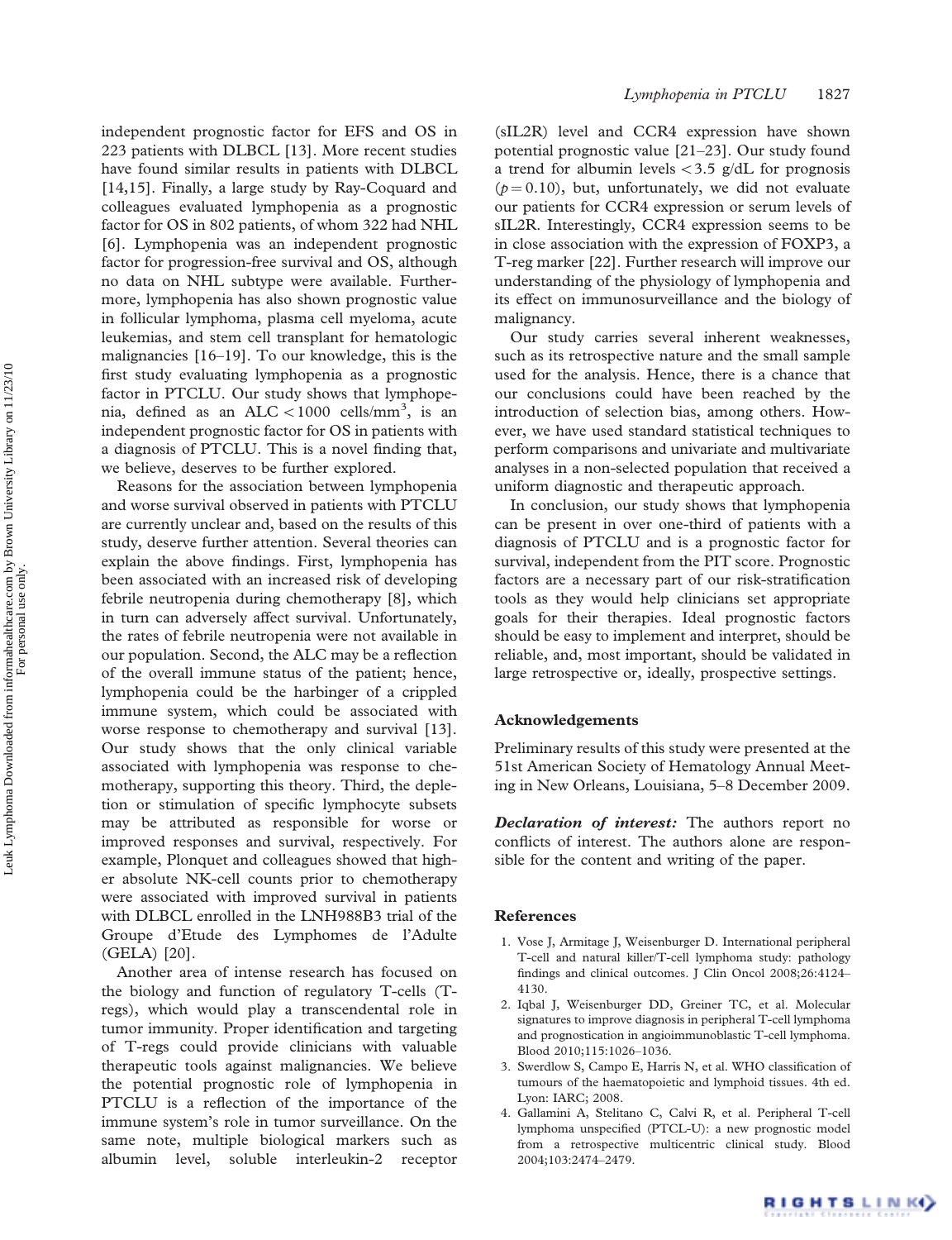independent prognostic factor for EFS and OS in 223 patients with DLBCL [13]. More recent studies have found similar results in patients with DLBCL [14,15]. Finally, a large study by Ray-Coquard and colleagues evaluated lymphopenia as a prognostic factor for OS in 802 patients, of whom 322 had NHL [6]. Lymphopenia was an independent prognostic factor for progression-free survival and OS, although no data on NHL subtype were available. Furthermore, lymphopenia has also shown prognostic value in follicular lymphoma, plasma cell myeloma, acute leukemias, and stem cell transplant for hematologic malignancies [16–19]. To our knowledge, this is the first study evaluating lymphopenia as a prognostic factor in PTCLU. Our study shows that lymphopenia, defined as an ALC  $<$  1000 cells/mm<sup>3</sup>, is an independent prognostic factor for OS in patients with a diagnosis of PTCLU. This is a novel finding that, we believe, deserves to be further explored.

Reasons for the association between lymphopenia and worse survival observed in patients with PTCLU are currently unclear and, based on the results of this study, deserve further attention. Several theories can explain the above findings. First, lymphopenia has been associated with an increased risk of developing febrile neutropenia during chemotherapy [8], which in turn can adversely affect survival. Unfortunately, the rates of febrile neutropenia were not available in our population. Second, the ALC may be a reflection of the overall immune status of the patient; hence, lymphopenia could be the harbinger of a crippled immune system, which could be associated with worse response to chemotherapy and survival [13]. Our study shows that the only clinical variable associated with lymphopenia was response to chemotherapy, supporting this theory. Third, the depletion or stimulation of specific lymphocyte subsets may be attributed as responsible for worse or improved responses and survival, respectively. For example, Plonquet and colleagues showed that higher absolute NK-cell counts prior to chemotherapy were associated with improved survival in patients with DLBCL enrolled in the LNH988B3 trial of the Groupe d'Etude des Lymphomes de l'Adulte (GELA) [20].

Another area of intense research has focused on the biology and function of regulatory T-cells (Tregs), which would play a transcendental role in tumor immunity. Proper identification and targeting of T-regs could provide clinicians with valuable therapeutic tools against malignancies. We believe the potential prognostic role of lymphopenia in PTCLU is a reflection of the importance of the immune system's role in tumor surveillance. On the same note, multiple biological markers such as albumin level, soluble interleukin-2 receptor

(sIL2R) level and CCR4 expression have shown potential prognostic value [21–23]. Our study found a trend for albumin levels  $<$  3.5 g/dL for prognosis  $(p = 0.10)$ , but, unfortunately, we did not evaluate our patients for CCR4 expression or serum levels of sIL2R. Interestingly, CCR4 expression seems to be in close association with the expression of FOXP3, a T-reg marker [22]. Further research will improve our understanding of the physiology of lymphopenia and its effect on immunosurveillance and the biology of malignancy.

Our study carries several inherent weaknesses, such as its retrospective nature and the small sample used for the analysis. Hence, there is a chance that our conclusions could have been reached by the introduction of selection bias, among others. However, we have used standard statistical techniques to perform comparisons and univariate and multivariate analyses in a non-selected population that received a uniform diagnostic and therapeutic approach.

In conclusion, our study shows that lymphopenia can be present in over one-third of patients with a diagnosis of PTCLU and is a prognostic factor for survival, independent from the PIT score. Prognostic factors are a necessary part of our risk-stratification tools as they would help clinicians set appropriate goals for their therapies. Ideal prognostic factors should be easy to implement and interpret, should be reliable, and, most important, should be validated in large retrospective or, ideally, prospective settings.

# Acknowledgements

Preliminary results of this study were presented at the 51st American Society of Hematology Annual Meeting in New Orleans, Louisiana, 5–8 December 2009.

**Declaration of interest:** The authors report no conflicts of interest. The authors alone are responsible for the content and writing of the paper.

#### References

- 1. Vose J, Armitage J, Weisenburger D. International peripheral T-cell and natural killer/T-cell lymphoma study: pathology findings and clinical outcomes. J Clin Oncol 2008;26:4124– 4130.
- 2. Iqbal J, Weisenburger DD, Greiner TC, et al. Molecular signatures to improve diagnosis in peripheral T-cell lymphoma and prognostication in angioimmunoblastic T-cell lymphoma. Blood 2010;115:1026–1036.
- 3. Swerdlow S, Campo E, Harris N, et al. WHO classification of tumours of the haematopoietic and lymphoid tissues. 4th ed. Lyon: IARC; 2008.
- 4. Gallamini A, Stelitano C, Calvi R, et al. Peripheral T-cell lymphoma unspecified (PTCL-U): a new prognostic model from a retrospective multicentric clinical study. Blood 2004;103:2474–2479.